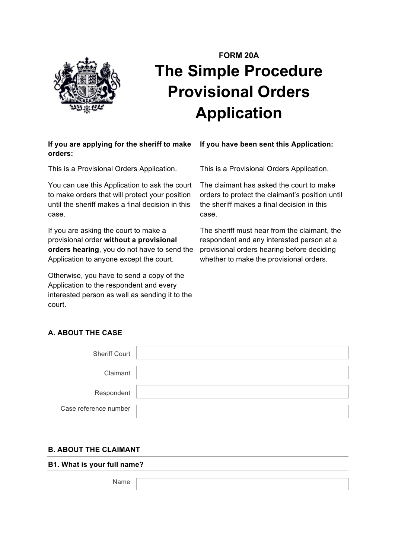

# **FORM 20A The Simple Procedure Provisional Orders Application**

## If you are applying for the sheriff to make If you have been sent this Application: **orders:**

This is a Provisional Orders Application.

You can use this Application to ask the court to make orders that will protect your position until the sheriff makes a final decision in this case.

If you are asking the court to make a provisional order **without a provisional orders hearing**, you do not have to send the Application to anyone except the court.

Otherwise, you have to send a copy of the Application to the respondent and every interested person as well as sending it to the court.

This is a Provisional Orders Application.

The claimant has asked the court to make orders to protect the claimant's position until the sheriff makes a final decision in this case.

The sheriff must hear from the claimant, the respondent and any interested person at a provisional orders hearing before deciding whether to make the provisional orders.

# **A. ABOUT THE CASE**

| <b>Sheriff Court</b>  |  |
|-----------------------|--|
|                       |  |
| Claimant              |  |
|                       |  |
|                       |  |
| Respondent            |  |
|                       |  |
| Case reference number |  |
|                       |  |

## **B. ABOUT THE CLAIMANT**

**B1. What is your full name?**

Name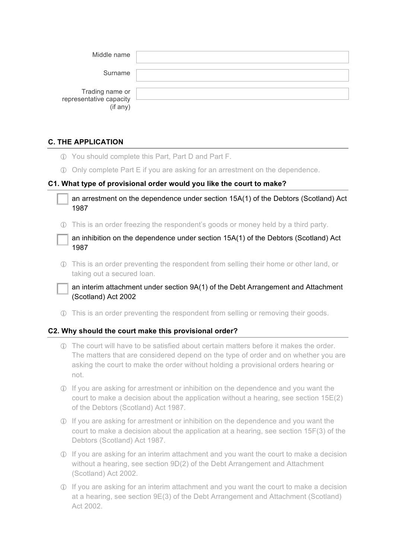| Middle name                                                  |  |
|--------------------------------------------------------------|--|
| Surname                                                      |  |
| Trading name or<br>representative capacity<br>$($ if any $)$ |  |

## **C. THE APPLICATION**

- ! You should complete this Part, Part D and Part F.
- ! Only complete Part E if you are asking for an arrestment on the dependence.

#### **C1. What type of provisional order would you like the court to make?**

an arrestment on the dependence under section 15A(1) of the Debtors (Scotland) Act 1987

! This is an order freezing the respondent's goods or money held by a third party.

an inhibition on the dependence under section  $15A(1)$  of the Debtors (Scotland) Act 1987

! This is an order preventing the respondent from selling their home or other land, or taking out a secured loan.

an interim attachment under section 9A(1) of the Debt Arrangement and Attachment (Scotland) Act 2002

! This is an order preventing the respondent from selling or removing their goods.

#### **C2. Why should the court make this provisional order?**

- ! The court will have to be satisfied about certain matters before it makes the order. The matters that are considered depend on the type of order and on whether you are asking the court to make the order without holding a provisional orders hearing or not.
- ! If you are asking for arrestment or inhibition on the dependence and you want the court to make a decision about the application without a hearing, see section 15E(2) of the Debtors (Scotland) Act 1987.
- ! If you are asking for arrestment or inhibition on the dependence and you want the court to make a decision about the application at a hearing, see section 15F(3) of the Debtors (Scotland) Act 1987.
- ! If you are asking for an interim attachment and you want the court to make a decision without a hearing, see section 9D(2) of the Debt Arrangement and Attachment (Scotland) Act 2002.
- ! If you are asking for an interim attachment and you want the court to make a decision at a hearing, see section 9E(3) of the Debt Arrangement and Attachment (Scotland) Act 2002.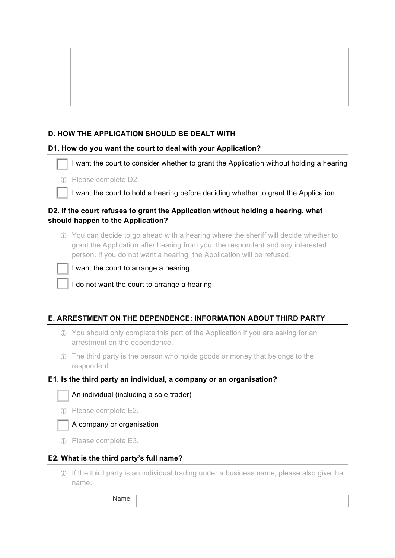## **D. HOW THE APPLICATION SHOULD BE DEALT WITH**

#### **D1. How do you want the court to deal with your Application?**

I want the court to consider whether to grant the Application without holding a hearing

! Please complete D2.

I want the court to hold a hearing before deciding whether to grant the Application

## **D2. If the court refuses to grant the Application without holding a hearing, what should happen to the Application?**

! You can decide to go ahead with a hearing where the sheriff will decide whether to grant the Application after hearing from you, the respondent and any interested person. If you do not want a hearing, the Application will be refused.



I want the court to arrange a hearing

I do not want the court to arrange a hearing

## **E. ARRESTMENT ON THE DEPENDENCE: INFORMATION ABOUT THIRD PARTY**

- ! You should only complete this part of the Application if you are asking for an arrestment on the dependence.
- ! The third party is the person who holds goods or money that belongs to the respondent.

#### **E1. Is the third party an individual, a company or an organisation?**



! Please complete E2.



*<u>D*</u> Please complete E3.

#### **E2. What is the third party's full name?**

! If the third party is an individual trading under a business name, please also give that name.

Name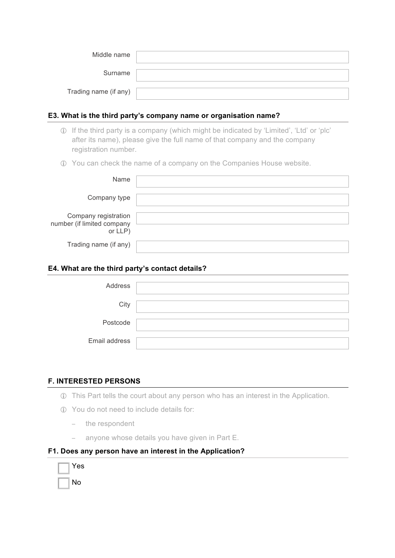| Middle name           |  |
|-----------------------|--|
| Surname               |  |
| Trading name (if any) |  |

#### **E3. What is the third party's company name or organisation name?**

- ! If the third party is a company (which might be indicated by 'Limited', 'Ltd' or 'plc' after its name), please give the full name of that company and the company registration number.
- ! You can check the name of a company on the Companies House website.

| Name                                                          |  |
|---------------------------------------------------------------|--|
| Company type                                                  |  |
| Company registration<br>number (if limited company<br>or LLP) |  |
| Trading name (if any)                                         |  |

#### **E4. What are the third party's contact details?**

| Address       |  |
|---------------|--|
| City          |  |
| Postcode      |  |
| Email address |  |

## **F. INTERESTED PERSONS**

- ! This Part tells the court about any person who has an interest in the Application.
- **1** You do not need to include details for:
	- − the respondent
	- − anyone whose details you have given in Part E.

## **F1. Does any person have an interest in the Application?**

| Yes |
|-----|
| N٥  |